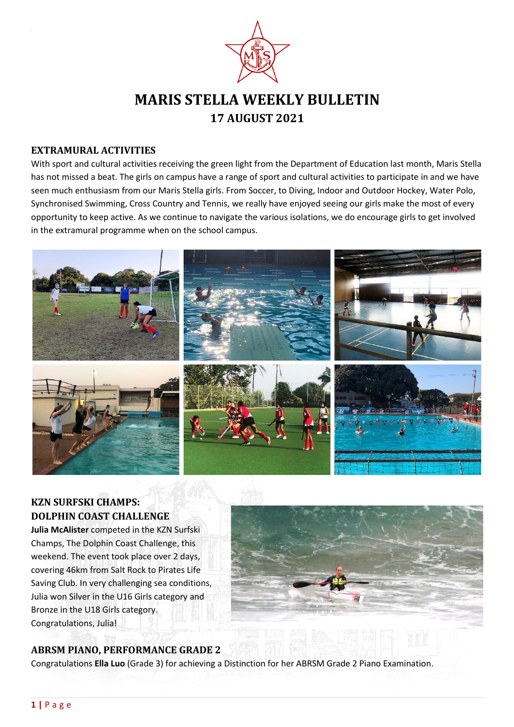

# **MARIS STELLA WEEKLY BULLETIN 17 AUGUST 2021**

#### **EXTRAMURAL ACTIVITIES**

With sport and cultural activities receiving the green light from the Department of Education last month, Maris Stella has not missed a beat. The girls on campus have a range of sport and cultural activities to participate in and we have seen much enthusiasm from our Maris Stella girls. From Soccer, to Diving, Indoor and Outdoor Hockey, Water Polo, Synchronised Swimming, Cross Country and Tennis, we really have enjoyed seeing our girls make the most of every opportunity to keep active. As we continue to navigate the various isolations, we do encourage girls to get involved in the extramural programme when on the school campus.



# **KZN SURFSKI CHAMPS: DOLPHIN COAST CHALLENGE**

**Julia McAlister** competed in the KZN Surfski Champs, The Dolphin Coast Challenge, this weekend. The event took place over 2 days, covering 46km from Salt Rock to Pirates Life Saving Club. In very challenging sea conditions, Julia won Silver in the U16 Girls category and Bronze in the U18 Girls category. Congratulations, Julia!



# **ABRSM PIANO, PERFORMANCE GRADE 2**

Congratulations **Ella Luo** (Grade 3) for achieving a Distinction for her ABRSM Grade 2 Piano Examination.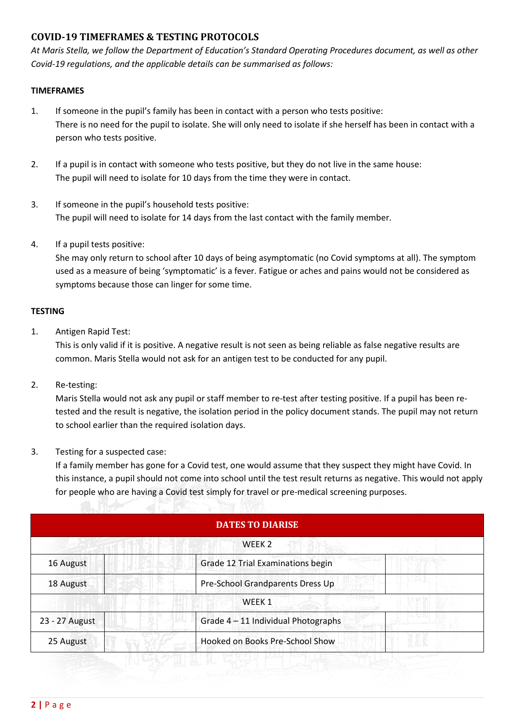## **COVID-19 TIMEFRAMES & TESTING PROTOCOLS**

*At Maris Stella, we follow the Department of Education's Standard Operating Procedures document, as well as other Covid-19 regulations, and the applicable details can be summarised as follows:*

#### **TIMEFRAMES**

- 1. If someone in the pupil's family has been in contact with a person who tests positive: There is no need for the pupil to isolate. She will only need to isolate if she herself has been in contact with a person who tests positive.
- 2. If a pupil is in contact with someone who tests positive, but they do not live in the same house: The pupil will need to isolate for 10 days from the time they were in contact.
- 3. If someone in the pupil's household tests positive: The pupil will need to isolate for 14 days from the last contact with the family member.
- 4. If a pupil tests positive:

She may only return to school after 10 days of being asymptomatic (no Covid symptoms at all). The symptom used as a measure of being 'symptomatic' is a fever. Fatigue or aches and pains would not be considered as symptoms because those can linger for some time.

#### **TESTING**

1. Antigen Rapid Test:

This is only valid if it is positive. A negative result is not seen as being reliable as false negative results are common. Maris Stella would not ask for an antigen test to be conducted for any pupil.

2. Re-testing:

Maris Stella would not ask any pupil or staff member to re-test after testing positive. If a pupil has been retested and the result is negative, the isolation period in the policy document stands. The pupil may not return to school earlier than the required isolation days.

3. Testing for a suspected case:

If a family member has gone for a Covid test, one would assume that they suspect they might have Covid. In this instance, a pupil should not come into school until the test result returns as negative. This would not apply for people who are having a Covid test simply for travel or pre-medical screening purposes.

| <b>DATES TO DIARISE</b><br>WEEK <sub>2</sub> |                                     |  |
|----------------------------------------------|-------------------------------------|--|
|                                              |                                     |  |
| 18 August                                    | Pre-School Grandparents Dress Up    |  |
|                                              | WEEK 1                              |  |
| 23 - 27 August                               | Grade 4 - 11 Individual Photographs |  |
| 25 August                                    | Hooked on Books Pre-School Show     |  |